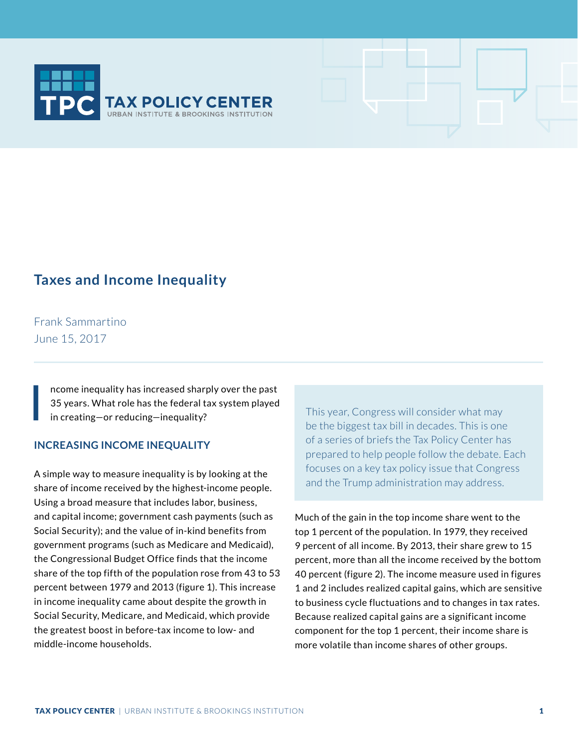

## **Taxes and Income Inequality**

Frank Sammartino June 15, 2017

I

ncome inequality has increased sharply over the past 35 years. What role has the federal tax system played in creating—or reducing—inequality?

## **INCREASING INCOME INEQUALITY**

A simple way to measure inequality is by looking at the share of income received by the highest-income people. Using a broad measure that includes labor, business, and capital income; government cash payments (such as Social Security); and the value of in-kind benefits from government programs (such as Medicare and Medicaid), the Congressional Budget Office finds that the income share of the top fifth of the population rose from 43 to 53 percent between 1979 and 2013 (figure 1). This increase in income inequality came about despite the growth in Social Security, Medicare, and Medicaid, which provide the greatest boost in before-tax income to low- and middle-income households.

This year, Congress will consider what may be the biggest tax bill in decades. This is one of a series of briefs the Tax Policy Center has prepared to help people follow the debate. Each focuses on a key tax policy issue that Congress and the Trump administration may address.

Much of the gain in the top income share went to the top 1 percent of the population. In 1979, they received 9 percent of all income. By 2013, their share grew to 15 percent, more than all the income received by the bottom 40 percent (figure 2). The income measure used in figures 1 and 2 includes realized capital gains, which are sensitive to business cycle fluctuations and to changes in tax rates. Because realized capital gains are a significant income component for the top 1 percent, their income share is more volatile than income shares of other groups.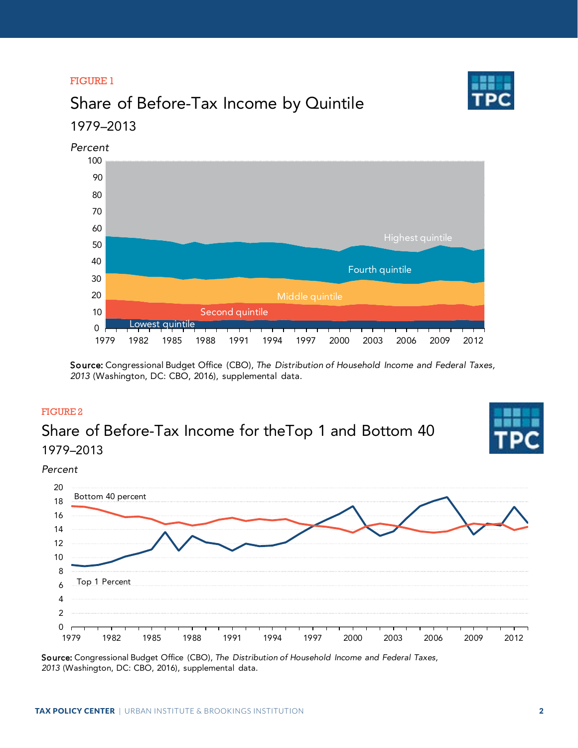## FIGURE 1

# Share of Before-Tax Income by Quintile 1979–2013



Source: Congressional Budget Office (CBO), *The Distribution of Household Income and Federal Taxes,*  (Washington, DC: CBO, 2016), supplemental data.

## FIGURE 2

## Share of Before-Tax Income for theTop 1 and Bottom 40 1979–2013



*Percent*



Source: Congressional Budget Office (CBO), *The Distribution of Household Income and Federal Taxes,*  (Washington, DC: CBO, 2016), supplemental data.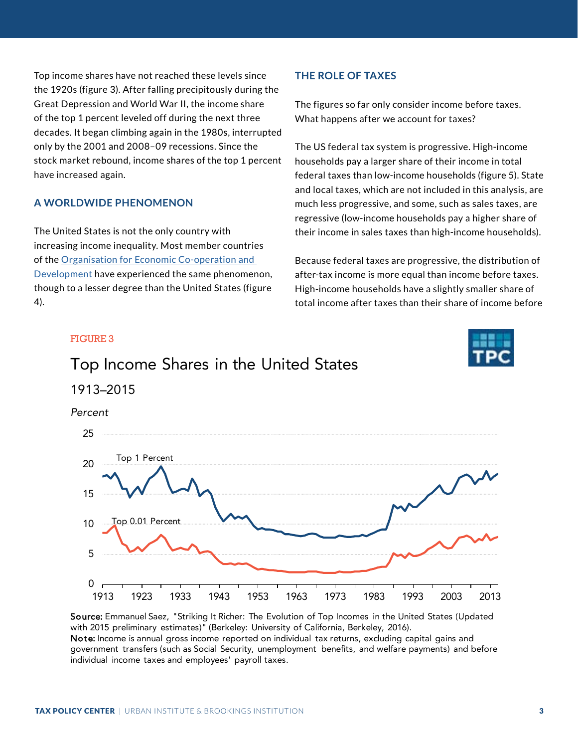Top income shares have not reached these levels since the 1920s (figure 3). After falling precipitously during the Great Depression and World War II, the income share of the top 1 percent leveled off during the next three decades. It began climbing again in the 1980s, interrupted only by the 2001 and 2008–09 recessions. Since the stock market rebound, income shares of the top 1 percent have increased again.

## **A WORLDWIDE PHENOMENON**

The United States is not the only country with increasing income inequality. Most member countries of the [Organisation for Economic Co-operation and](http://www.oecd.org/social/OECD2014-FocusOnTopIncomes.pdf)  [Development](http://www.oecd.org/social/OECD2014-FocusOnTopIncomes.pdf) have experienced the same phenomenon, though to a lesser degree than the United States (figure 4).

### **THE ROLE OF TAXES**

The figures so far only consider income before taxes. What happens after we account for taxes?

The US federal tax system is progressive. High-income households pay a larger share of their income in total federal taxes than low-income households (figure 5). State and local taxes, which are not included in this analysis, are much less progressive, and some, such as sales taxes, are regressive (low-income households pay a higher share of their income in sales taxes than high-income households).

Because federal taxes are progressive, the distribution of after-tax income is more equal than income before taxes. High-income households have a slightly smaller share of total income after taxes than their share of income before



Source: Emmanuel Saez, "Striking It Richer: The Evolution of Top Incomes in the United States (Updated with 2015 preliminary estimates)" (Berkeley: University of California, Berkeley, 2016). Note: Income is annual gross income reported on individual tax returns, excluding capital gains and government transfers (such as Social Security, unemployment benefits, and welfare payments) and before individual income taxes and employees' payroll taxes.

## FIGURE 3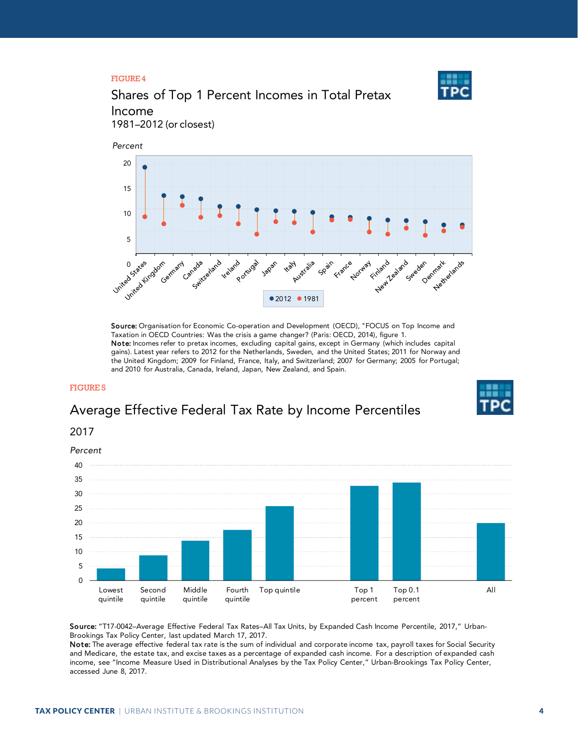### FIGURE 4



## Shares of Top 1 Percent Incomes in Total Pretax Income

1981–2012 (or closest)



Source: Organisation for Economic Co-operation and Development (OECD), "FOCUS on Top Income and Taxation in OECD Countries: Was the crisis a game changer? (Paris: OECD, 2014), figure 1. Note: Incomes refer to pretax incomes, excluding capital gains, except in Germany (which includes capital gains). Latest year refers to 2012 for the Netherlands, Sweden, and the United States; 2011 for Norway and the United Kingdom; 2009 for Finland, France, Italy, and Switzerland; 2007 for Germany; 2005 for Portugal; and 2010 for Australia, Canada, Ireland, Japan, New Zealand, and Spain.

#### FIGURE 5

## Average Effective Federal Tax Rate by Income Percentiles

## 2017



Source: "T17-0042–Average Effective Federal Tax Rates–All Tax Units, by Expanded Cash Income Percentile, 2017," Urban-Brookings Tax Policy Center, last updated March 17, 2017.

Note: The average effective federal tax rate is the sum of individual and corporate income tax, payroll taxes for Social Security and Medicare, the estate tax, and excise taxes as a percentage of expanded cash income. For a description of expanded cash income, see "Income Measure Used in Distributional Analyses by the Tax Policy Center," Urban-Brookings Tax Policy Center, accessed June 8, 2017.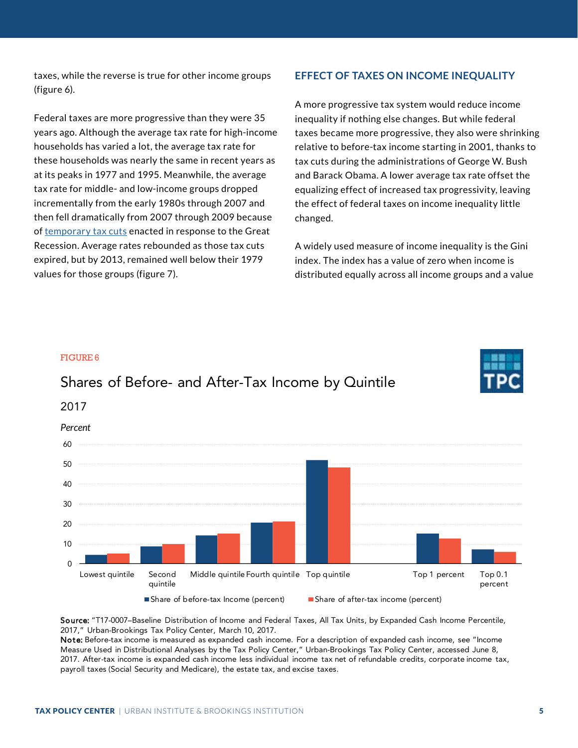taxes, while the reverse is true for other income groups (figure 6).

Federal taxes are more progressive than they were 35 years ago. Although the average tax rate for high-income households has varied a lot, the average tax rate for these households was nearly the same in recent years as at its peaks in 1977 and 1995. Meanwhile, the average tax rate for middle- and low-income groups dropped incrementally from the early 1980s through 2007 and then fell dramatically from 2007 through 2009 because of [temporary tax cuts](http://www.taxpolicycenter.org/briefing-book/what-did-2008-10-tax-stimulus-acts-do) enacted in response to the Great Recession. Average rates rebounded as those tax cuts expired, but by 2013, remained well below their 1979 values for those groups (figure 7).

FIGURE 6

### **EFFECT OF TAXES ON INCOME INEQUALITY**

A more progressive tax system would reduce income inequality if nothing else changes. But while federal taxes became more progressive, they also were shrinking relative to before-tax income starting in 2001, thanks to tax cuts during the administrations of George W. Bush and Barack Obama. A lower average tax rate offset the equalizing effect of increased tax progressivity, leaving the effect of federal taxes on income inequality little changed.

A widely used measure of income inequality is the Gini index. The index has a value of zero when income is distributed equally across all income groups and a value

## $\Omega$ 10 20 30 50 60 Lowest quintile Second quintile Middle quintile Fourth quintile Top quintile Tom Top 1 percent Top 0.1 percent ■ Share of before-tax Income (percent) ■ Share of after-tax income (percent) Shares of Before- and After-Tax Income by Quintile 2017 *Percent*

Source: "T17-0007–Baseline Distribution of Income and Federal Taxes, All Tax Units, by Expanded Cash Income Percentile, 2017," Urban-Brookings Tax Policy Center, March 10, 2017.

Note: Before-tax income is measured as expanded cash income. For a description of expanded cash income, see "Income Measure Used in Distributional Analyses by the Tax Policy Center," Urban-Brookings Tax Policy Center, accessed June 8, 2017. After-tax income is expanded cash income less individual income tax net of refundable credits, corporate income tax, payroll taxes (Social Security and Medicare), the estate tax, and excise taxes.

# 40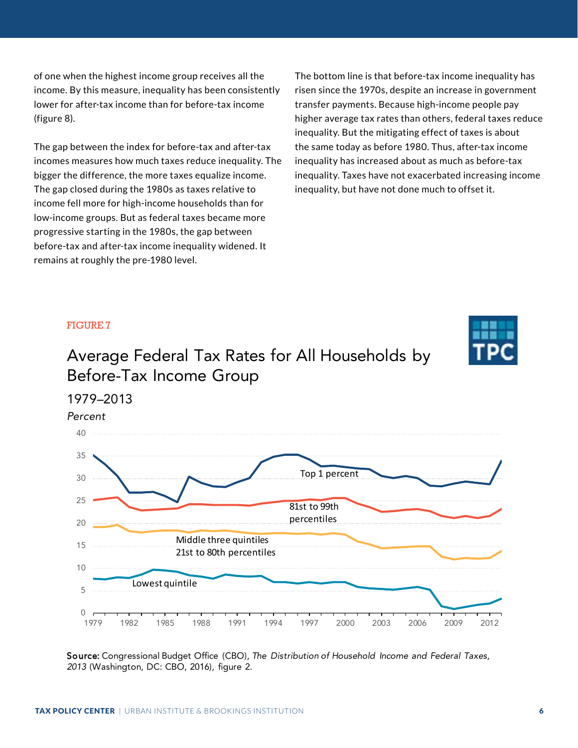of one when the highest income group receives all the income. By this measure, inequality has been consistently lower for after-tax income than for before-tax income (figure 8).

The gap between the index for before-tax and after-tax incomes measures how much taxes reduce inequality. The bigger the difference, the more taxes equalize income. The gap closed during the 1980s as taxes relative to income fell more for high-income households than for low-income groups. But as federal taxes became more progressive starting in the 1980s, the gap between before-tax and after-tax income inequality widened. It remains at roughly the pre-1980 level.

The bottom line is that before-tax income inequality has risen since the 1970s, despite an increase in government transfer payments. Because high-income people pay higher average tax rates than others, federal taxes reduce inequality. But the mitigating effect of taxes is about the same today as before 1980. Thus, after-tax income inequality has increased about as much as before-tax inequality. Taxes have not exacerbated increasing income inequality, but have not done much to offset it.

### FIGURE 7

# Average Federal Tax Rates for All Households by Before-Tax Income Group



Source: Congressional Budget Office (CBO), *The Distribution of Household Income and Federal Taxes, 2013* (Washington, DC: CBO, 2016), figure 2.